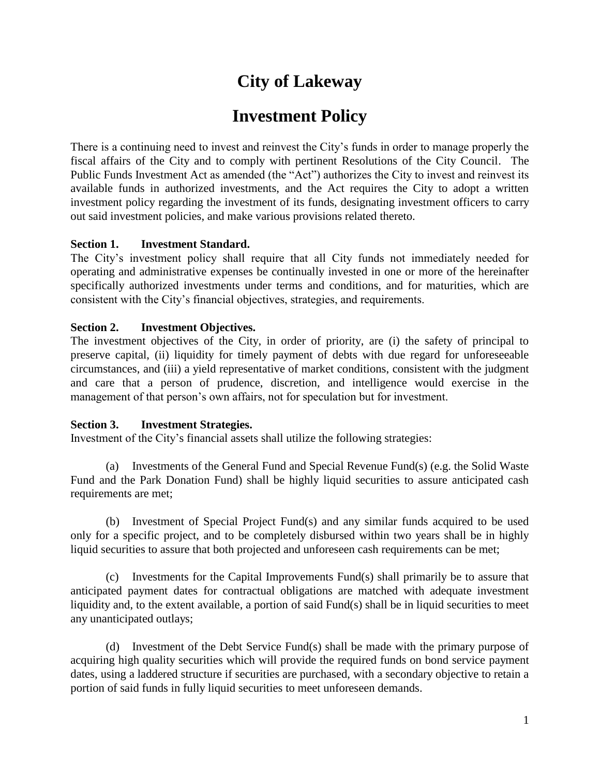# **City of Lakeway**

## **Investment Policy**

There is a continuing need to invest and reinvest the City's funds in order to manage properly the fiscal affairs of the City and to comply with pertinent Resolutions of the City Council. The Public Funds Investment Act as amended (the "Act") authorizes the City to invest and reinvest its available funds in authorized investments, and the Act requires the City to adopt a written investment policy regarding the investment of its funds, designating investment officers to carry out said investment policies, and make various provisions related thereto.

#### **Section 1. Investment Standard.**

The City's investment policy shall require that all City funds not immediately needed for operating and administrative expenses be continually invested in one or more of the hereinafter specifically authorized investments under terms and conditions, and for maturities, which are consistent with the City's financial objectives, strategies, and requirements.

### **Section 2. Investment Objectives.**

The investment objectives of the City, in order of priority, are (i) the safety of principal to preserve capital, (ii) liquidity for timely payment of debts with due regard for unforeseeable circumstances, and (iii) a yield representative of market conditions, consistent with the judgment and care that a person of prudence, discretion, and intelligence would exercise in the management of that person's own affairs, not for speculation but for investment.

#### **Section 3. Investment Strategies.**

Investment of the City's financial assets shall utilize the following strategies:

(a) Investments of the General Fund and Special Revenue Fund(s) (e.g. the Solid Waste Fund and the Park Donation Fund) shall be highly liquid securities to assure anticipated cash requirements are met;

(b) Investment of Special Project Fund(s) and any similar funds acquired to be used only for a specific project, and to be completely disbursed within two years shall be in highly liquid securities to assure that both projected and unforeseen cash requirements can be met;

(c) Investments for the Capital Improvements Fund(s) shall primarily be to assure that anticipated payment dates for contractual obligations are matched with adequate investment liquidity and, to the extent available, a portion of said Fund(s) shall be in liquid securities to meet any unanticipated outlays;

(d) Investment of the Debt Service Fund(s) shall be made with the primary purpose of acquiring high quality securities which will provide the required funds on bond service payment dates, using a laddered structure if securities are purchased, with a secondary objective to retain a portion of said funds in fully liquid securities to meet unforeseen demands.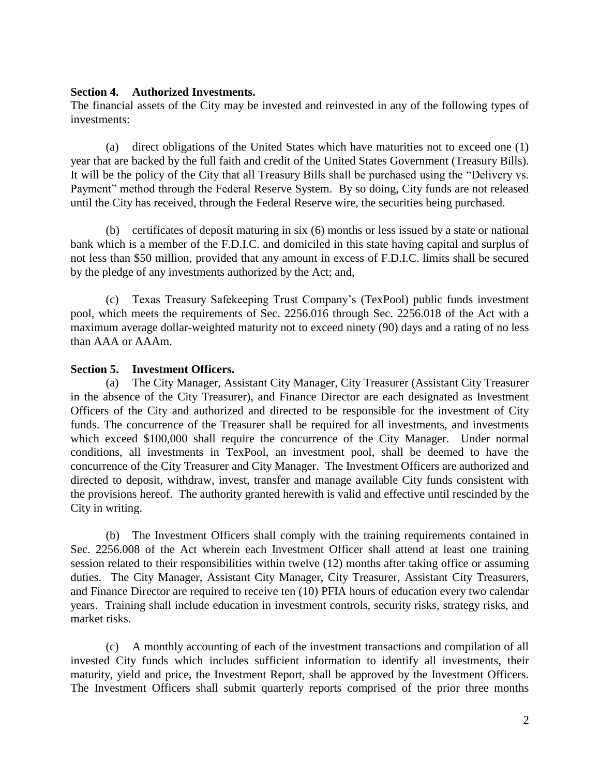#### **Section 4. Authorized Investments.**

The financial assets of the City may be invested and reinvested in any of the following types of investments:

(a) direct obligations of the United States which have maturities not to exceed one (1) year that are backed by the full faith and credit of the United States Government (Treasury Bills). It will be the policy of the City that all Treasury Bills shall be purchased using the "Delivery vs. Payment" method through the Federal Reserve System. By so doing, City funds are not released until the City has received, through the Federal Reserve wire, the securities being purchased.

(b) certificates of deposit maturing in six (6) months or less issued by a state or national bank which is a member of the F.D.I.C. and domiciled in this state having capital and surplus of not less than \$50 million, provided that any amount in excess of F.D.I.C. limits shall be secured by the pledge of any investments authorized by the Act; and,

(c) Texas Treasury Safekeeping Trust Company's (TexPool) public funds investment pool, which meets the requirements of Sec. 2256.016 through Sec. 2256.018 of the Act with a maximum average dollar-weighted maturity not to exceed ninety (90) days and a rating of no less than AAA or AAAm.

#### **Section 5. Investment Officers.**

(a) The City Manager, Assistant City Manager, City Treasurer (Assistant City Treasurer in the absence of the City Treasurer), and Finance Director are each designated as Investment Officers of the City and authorized and directed to be responsible for the investment of City funds. The concurrence of the Treasurer shall be required for all investments, and investments which exceed \$100,000 shall require the concurrence of the City Manager. Under normal conditions, all investments in TexPool, an investment pool, shall be deemed to have the concurrence of the City Treasurer and City Manager. The Investment Officers are authorized and directed to deposit, withdraw, invest, transfer and manage available City funds consistent with the provisions hereof. The authority granted herewith is valid and effective until rescinded by the City in writing.

(b) The Investment Officers shall comply with the training requirements contained in Sec. 2256.008 of the Act wherein each Investment Officer shall attend at least one training session related to their responsibilities within twelve (12) months after taking office or assuming duties. The City Manager, Assistant City Manager, City Treasurer, Assistant City Treasurers, and Finance Director are required to receive ten (10) PFIA hours of education every two calendar years. Training shall include education in investment controls, security risks, strategy risks, and market risks.

(c) A monthly accounting of each of the investment transactions and compilation of all invested City funds which includes sufficient information to identify all investments, their maturity, yield and price, the Investment Report, shall be approved by the Investment Officers. The Investment Officers shall submit quarterly reports comprised of the prior three months